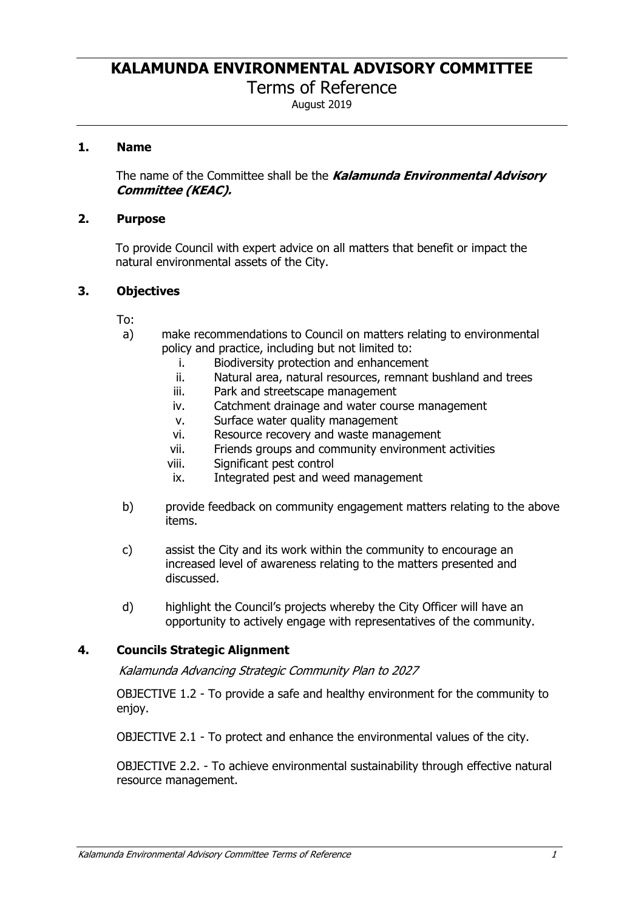# **KALAMUNDA ENVIRONMENTAL ADVISORY COMMITTEE**

Terms of Reference

August 2019

# **1. Name**

The name of the Committee shall be the *Kalamunda Environmental Advisory Committee (KEAC).*

#### **2. Purpose**

To provide Council with expert advice on all matters that benefit or impact the natural environmental assets of the City.

# **3. Objectives**

- To:
- a) make recommendations to Council on matters relating to environmental policy and practice, including but not limited to:
	- i. Biodiversity protection and enhancement
	- ii. Natural area, natural resources, remnant bushland and trees
	- iii. Park and streetscape management
	- iv. Catchment drainage and water course management
	- v. Surface water quality management
	- vi. Resource recovery and waste management
	- vii. Friends groups and community environment activities
	- viii. Significant pest control
	- ix. Integrated pest and weed management
- b) provide feedback on community engagement matters relating to the above items.
- c) assist the City and its work within the community to encourage an increased level of awareness relating to the matters presented and discussed.
- d) highlight the Council's projects whereby the City Officer will have an opportunity to actively engage with representatives of the community.

# **4. Councils Strategic Alignment**

*Kalamunda Advancing Strategic Community Plan to 2027* 

OBJECTIVE 1.2 - To provide a safe and healthy environment for the community to enjoy.

OBJECTIVE 2.1 - To protect and enhance the environmental values of the city.

OBJECTIVE 2.2. - To achieve environmental sustainability through effective natural resource management.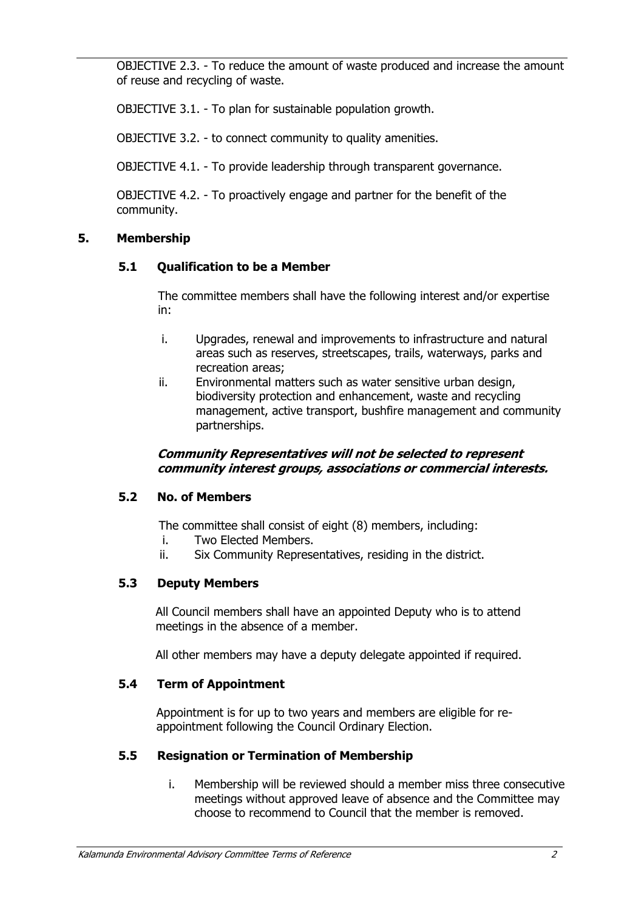OBJECTIVE 2.3. - To reduce the amount of waste produced and increase the amount of reuse and recycling of waste.

OBJECTIVE 3.1. - To plan for sustainable population growth.

OBJECTIVE 3.2. - to connect community to quality amenities.

OBJECTIVE 4.1. - To provide leadership through transparent governance.

OBJECTIVE 4.2. - To proactively engage and partner for the benefit of the community.

#### **5. Membership**

#### **5.1 Qualification to be a Member**

The committee members shall have the following interest and/or expertise in:

- i. Upgrades, renewal and improvements to infrastructure and natural areas such as reserves, streetscapes, trails, waterways, parks and recreation areas;
- ii. Environmental matters such as water sensitive urban design, biodiversity protection and enhancement, waste and recycling management, active transport, bushfire management and community partnerships.

#### *Community Representatives will not be selected to represent community interest groups, associations or commercial interests.*

#### **5.2 No. of Members**

The committee shall consist of eight (8) members, including:

- i. Two Elected Members.
- ii. Six Community Representatives, residing in the district.

# **5.3 Deputy Members**

All Council members shall have an appointed Deputy who is to attend meetings in the absence of a member.

All other members may have a deputy delegate appointed if required.

# **5.4 Term of Appointment**

Appointment is for up to two years and members are eligible for reappointment following the Council Ordinary Election.

# **5.5 Resignation or Termination of Membership**

i. Membership will be reviewed should a member miss three consecutive meetings without approved leave of absence and the Committee may choose to recommend to Council that the member is removed.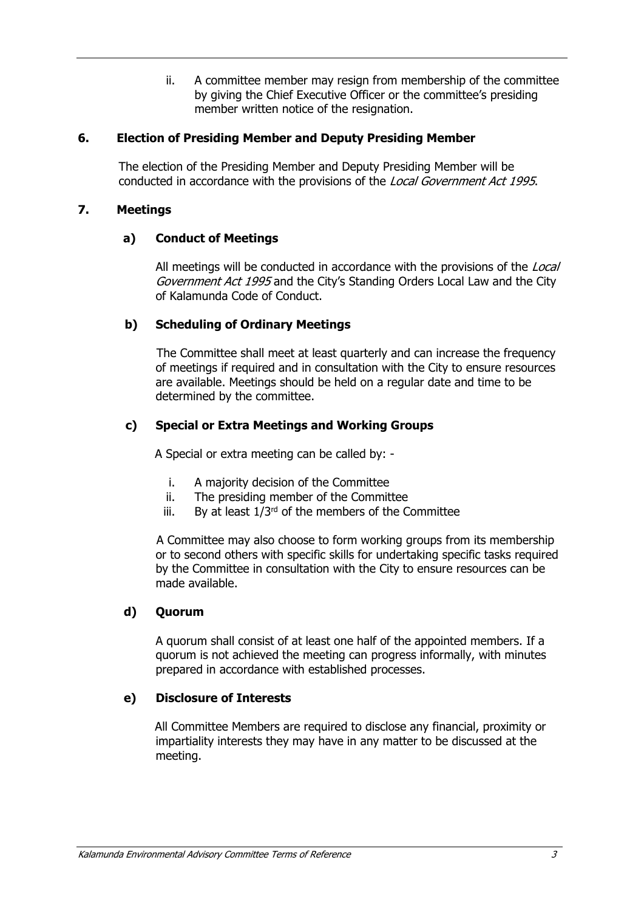ii. A committee member may resign from membership of the committee by giving the Chief Executive Officer or the committee's presiding member written notice of the resignation.

# **6. Election of Presiding Member and Deputy Presiding Member**

The election of the Presiding Member and Deputy Presiding Member will be conducted in accordance with the provisions of the *Local Government Act 1995*.

# **7. Meetings**

# **a) Conduct of Meetings**

All meetings will be conducted in accordance with the provisions of the *Local Government Act 1995* and the City's Standing Orders Local Law and the City of Kalamunda Code of Conduct.

#### **b) Scheduling of Ordinary Meetings**

The Committee shall meet at least quarterly and can increase the frequency of meetings if required and in consultation with the City to ensure resources are available. Meetings should be held on a regular date and time to be determined by the committee.

# **c) Special or Extra Meetings and Working Groups**

A Special or extra meeting can be called by: -

- i. A majority decision of the Committee
- ii. The presiding member of the Committee
- iii. By at least  $1/3^{rd}$  of the members of the Committee

A Committee may also choose to form working groups from its membership or to second others with specific skills for undertaking specific tasks required by the Committee in consultation with the City to ensure resources can be made available.

# **d) Quorum**

A quorum shall consist of at least one half of the appointed members. If a quorum is not achieved the meeting can progress informally, with minutes prepared in accordance with established processes.

#### **e) Disclosure of Interests**

All Committee Members are required to disclose any financial, proximity or impartiality interests they may have in any matter to be discussed at the meeting.